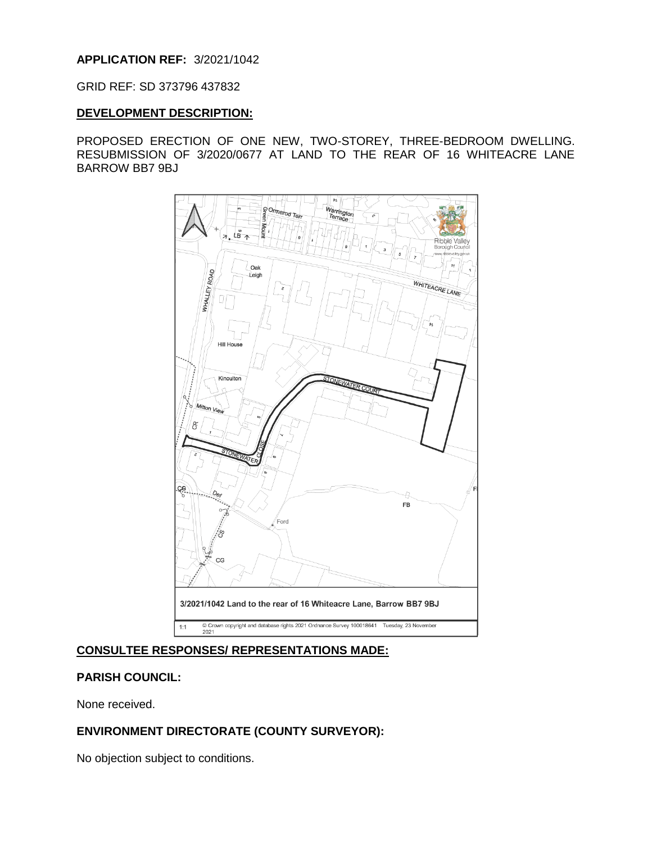## **APPLICATION REF:** 3/2021/1042

#### GRID REF: SD 373796 437832

#### **DEVELOPMENT DESCRIPTION:**

PROPOSED ERECTION OF ONE NEW, TWO-STOREY, THREE-BEDROOM DWELLING. RESUBMISSION OF 3/2020/0677 AT LAND TO THE REAR OF 16 WHITEACRE LANE BARROW BB7 9BJ



### **CONSULTEE RESPONSES/ REPRESENTATIONS MADE:**

#### **PARISH COUNCIL:**

None received.

## **ENVIRONMENT DIRECTORATE (COUNTY SURVEYOR):**

No objection subject to conditions.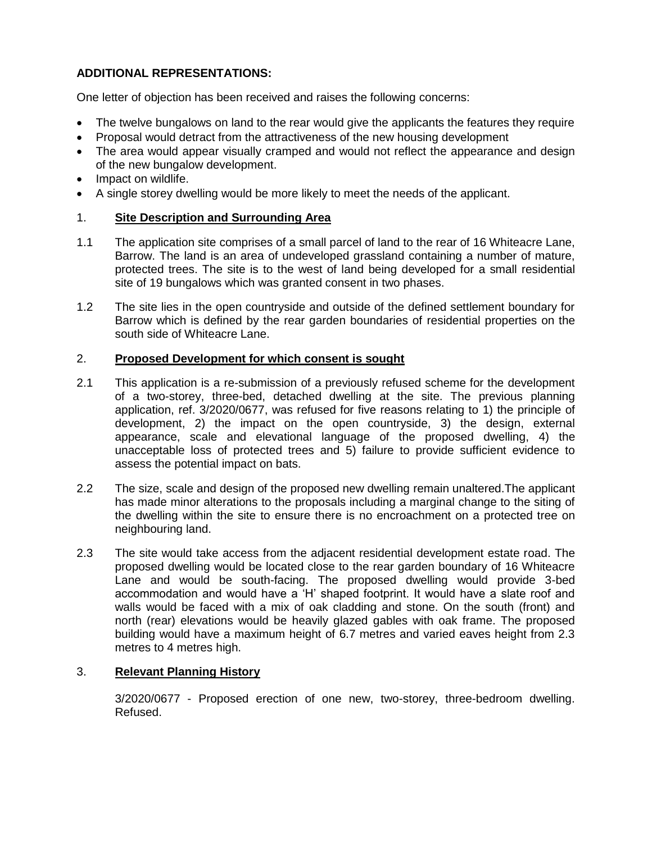# **ADDITIONAL REPRESENTATIONS:**

One letter of objection has been received and raises the following concerns:

- The twelve bungalows on land to the rear would give the applicants the features they require
- Proposal would detract from the attractiveness of the new housing development
- The area would appear visually cramped and would not reflect the appearance and design of the new bungalow development.
- Impact on wildlife.
- A single storey dwelling would be more likely to meet the needs of the applicant.

## 1. **Site Description and Surrounding Area**

- 1.1 The application site comprises of a small parcel of land to the rear of 16 Whiteacre Lane, Barrow. The land is an area of undeveloped grassland containing a number of mature, protected trees. The site is to the west of land being developed for a small residential site of 19 bungalows which was granted consent in two phases.
- 1.2 The site lies in the open countryside and outside of the defined settlement boundary for Barrow which is defined by the rear garden boundaries of residential properties on the south side of Whiteacre Lane.

## 2. **Proposed Development for which consent is sought**

- 2.1 This application is a re-submission of a previously refused scheme for the development of a two-storey, three-bed, detached dwelling at the site. The previous planning application, ref. 3/2020/0677, was refused for five reasons relating to 1) the principle of development, 2) the impact on the open countryside, 3) the design, external appearance, scale and elevational language of the proposed dwelling, 4) the unacceptable loss of protected trees and 5) failure to provide sufficient evidence to assess the potential impact on bats.
- 2.2 The size, scale and design of the proposed new dwelling remain unaltered.The applicant has made minor alterations to the proposals including a marginal change to the siting of the dwelling within the site to ensure there is no encroachment on a protected tree on neighbouring land.
- 2.3 The site would take access from the adjacent residential development estate road. The proposed dwelling would be located close to the rear garden boundary of 16 Whiteacre Lane and would be south-facing. The proposed dwelling would provide 3-bed accommodation and would have a 'H' shaped footprint. It would have a slate roof and walls would be faced with a mix of oak cladding and stone. On the south (front) and north (rear) elevations would be heavily glazed gables with oak frame. The proposed building would have a maximum height of 6.7 metres and varied eaves height from 2.3 metres to 4 metres high.

## 3. **Relevant Planning History**

3/2020/0677 - Proposed erection of one new, two-storey, three-bedroom dwelling. Refused.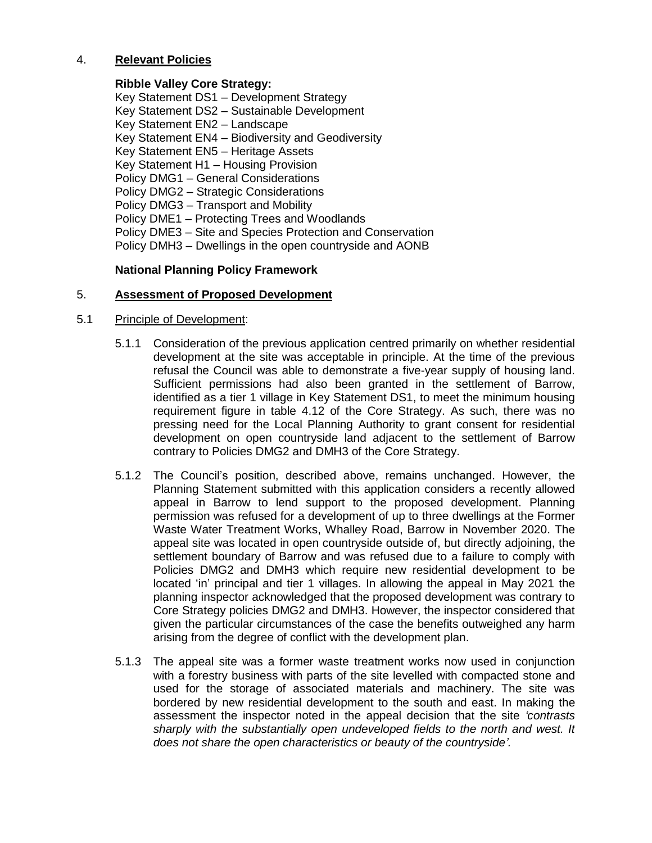## 4. **Relevant Policies**

## **Ribble Valley Core Strategy:**

Key Statement DS1 – Development Strategy Key Statement DS2 – Sustainable Development Key Statement EN2 – Landscape Key Statement EN4 – Biodiversity and Geodiversity Key Statement EN5 – Heritage Assets Key Statement H1 – Housing Provision Policy DMG1 – General Considerations Policy DMG2 – Strategic Considerations Policy DMG3 – Transport and Mobility Policy DME1 – Protecting Trees and Woodlands Policy DME3 – Site and Species Protection and Conservation Policy DMH3 – Dwellings in the open countryside and AONB

## **National Planning Policy Framework**

#### 5. **Assessment of Proposed Development**

#### 5.1 Principle of Development:

- 5.1.1 Consideration of the previous application centred primarily on whether residential development at the site was acceptable in principle. At the time of the previous refusal the Council was able to demonstrate a five-year supply of housing land. Sufficient permissions had also been granted in the settlement of Barrow, identified as a tier 1 village in Key Statement DS1, to meet the minimum housing requirement figure in table 4.12 of the Core Strategy. As such, there was no pressing need for the Local Planning Authority to grant consent for residential development on open countryside land adjacent to the settlement of Barrow contrary to Policies DMG2 and DMH3 of the Core Strategy.
- 5.1.2 The Council's position, described above, remains unchanged. However, the Planning Statement submitted with this application considers a recently allowed appeal in Barrow to lend support to the proposed development. Planning permission was refused for a development of up to three dwellings at the Former Waste Water Treatment Works, Whalley Road, Barrow in November 2020. The appeal site was located in open countryside outside of, but directly adjoining, the settlement boundary of Barrow and was refused due to a failure to comply with Policies DMG2 and DMH3 which require new residential development to be located 'in' principal and tier 1 villages. In allowing the appeal in May 2021 the planning inspector acknowledged that the proposed development was contrary to Core Strategy policies DMG2 and DMH3. However, the inspector considered that given the particular circumstances of the case the benefits outweighed any harm arising from the degree of conflict with the development plan.
- 5.1.3 The appeal site was a former waste treatment works now used in conjunction with a forestry business with parts of the site levelled with compacted stone and used for the storage of associated materials and machinery. The site was bordered by new residential development to the south and east. In making the assessment the inspector noted in the appeal decision that the site *'contrasts sharply with the substantially open undeveloped fields to the north and west. It does not share the open characteristics or beauty of the countryside'.*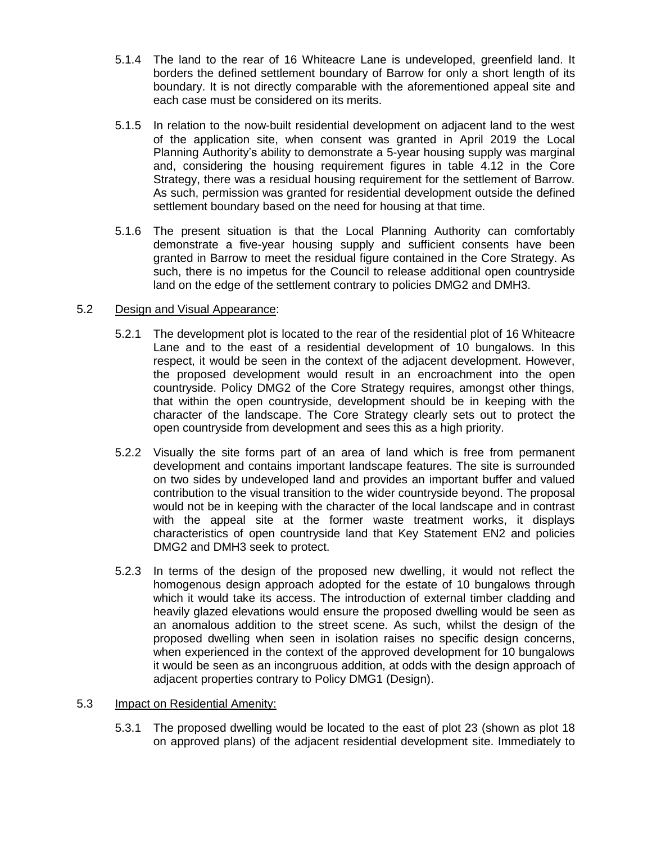- 5.1.4 The land to the rear of 16 Whiteacre Lane is undeveloped, greenfield land. It borders the defined settlement boundary of Barrow for only a short length of its boundary. It is not directly comparable with the aforementioned appeal site and each case must be considered on its merits.
- 5.1.5 In relation to the now-built residential development on adjacent land to the west of the application site, when consent was granted in April 2019 the Local Planning Authority's ability to demonstrate a 5-year housing supply was marginal and, considering the housing requirement figures in table 4.12 in the Core Strategy, there was a residual housing requirement for the settlement of Barrow. As such, permission was granted for residential development outside the defined settlement boundary based on the need for housing at that time.
- 5.1.6 The present situation is that the Local Planning Authority can comfortably demonstrate a five-year housing supply and sufficient consents have been granted in Barrow to meet the residual figure contained in the Core Strategy. As such, there is no impetus for the Council to release additional open countryside land on the edge of the settlement contrary to policies DMG2 and DMH3.

## 5.2 Design and Visual Appearance:

- 5.2.1 The development plot is located to the rear of the residential plot of 16 Whiteacre Lane and to the east of a residential development of 10 bungalows. In this respect, it would be seen in the context of the adjacent development. However, the proposed development would result in an encroachment into the open countryside. Policy DMG2 of the Core Strategy requires, amongst other things, that within the open countryside, development should be in keeping with the character of the landscape. The Core Strategy clearly sets out to protect the open countryside from development and sees this as a high priority.
- 5.2.2 Visually the site forms part of an area of land which is free from permanent development and contains important landscape features. The site is surrounded on two sides by undeveloped land and provides an important buffer and valued contribution to the visual transition to the wider countryside beyond. The proposal would not be in keeping with the character of the local landscape and in contrast with the appeal site at the former waste treatment works, it displays characteristics of open countryside land that Key Statement EN2 and policies DMG2 and DMH3 seek to protect.
- 5.2.3 In terms of the design of the proposed new dwelling, it would not reflect the homogenous design approach adopted for the estate of 10 bungalows through which it would take its access. The introduction of external timber cladding and heavily glazed elevations would ensure the proposed dwelling would be seen as an anomalous addition to the street scene. As such, whilst the design of the proposed dwelling when seen in isolation raises no specific design concerns, when experienced in the context of the approved development for 10 bungalows it would be seen as an incongruous addition, at odds with the design approach of adjacent properties contrary to Policy DMG1 (Design).

#### 5.3 Impact on Residential Amenity:

5.3.1 The proposed dwelling would be located to the east of plot 23 (shown as plot 18 on approved plans) of the adjacent residential development site. Immediately to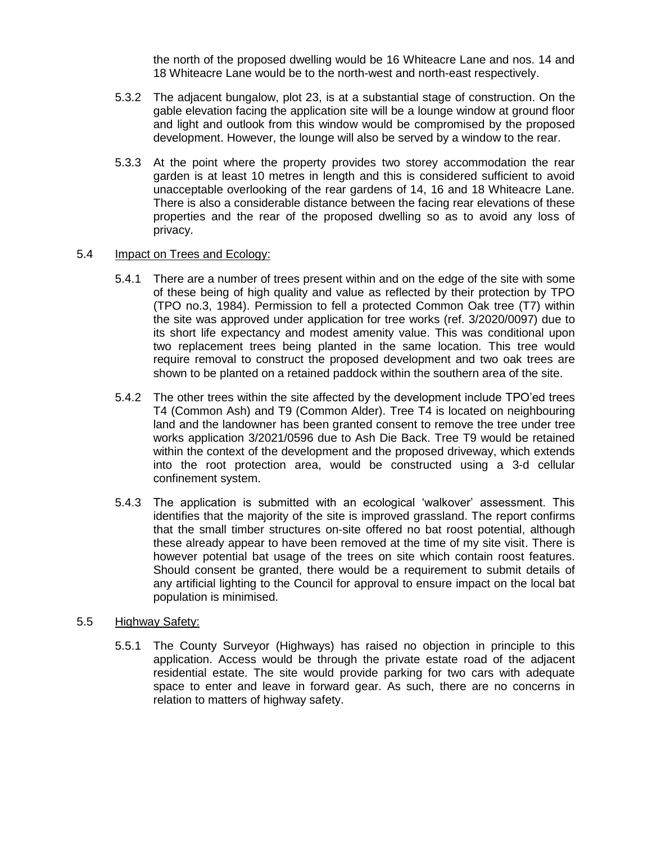the north of the proposed dwelling would be 16 Whiteacre Lane and nos. 14 and 18 Whiteacre Lane would be to the north-west and north-east respectively.

- 5.3.2 The adjacent bungalow, plot 23, is at a substantial stage of construction. On the gable elevation facing the application site will be a lounge window at ground floor and light and outlook from this window would be compromised by the proposed development. However, the lounge will also be served by a window to the rear.
- 5.3.3 At the point where the property provides two storey accommodation the rear garden is at least 10 metres in length and this is considered sufficient to avoid unacceptable overlooking of the rear gardens of 14, 16 and 18 Whiteacre Lane. There is also a considerable distance between the facing rear elevations of these properties and the rear of the proposed dwelling so as to avoid any loss of privacy.

#### 5.4 Impact on Trees and Ecology:

- 5.4.1 There are a number of trees present within and on the edge of the site with some of these being of high quality and value as reflected by their protection by TPO (TPO no.3, 1984). Permission to fell a protected Common Oak tree (T7) within the site was approved under application for tree works (ref. 3/2020/0097) due to its short life expectancy and modest amenity value. This was conditional upon two replacement trees being planted in the same location. This tree would require removal to construct the proposed development and two oak trees are shown to be planted on a retained paddock within the southern area of the site.
- 5.4.2 The other trees within the site affected by the development include TPO'ed trees T4 (Common Ash) and T9 (Common Alder). Tree T4 is located on neighbouring land and the landowner has been granted consent to remove the tree under tree works application 3/2021/0596 due to Ash Die Back. Tree T9 would be retained within the context of the development and the proposed driveway, which extends into the root protection area, would be constructed using a 3-d cellular confinement system.
- 5.4.3 The application is submitted with an ecological 'walkover' assessment. This identifies that the majority of the site is improved grassland. The report confirms that the small timber structures on-site offered no bat roost potential, although these already appear to have been removed at the time of my site visit. There is however potential bat usage of the trees on site which contain roost features. Should consent be granted, there would be a requirement to submit details of any artificial lighting to the Council for approval to ensure impact on the local bat population is minimised.

#### 5.5 Highway Safety:

5.5.1 The County Surveyor (Highways) has raised no objection in principle to this application. Access would be through the private estate road of the adjacent residential estate. The site would provide parking for two cars with adequate space to enter and leave in forward gear. As such, there are no concerns in relation to matters of highway safety.